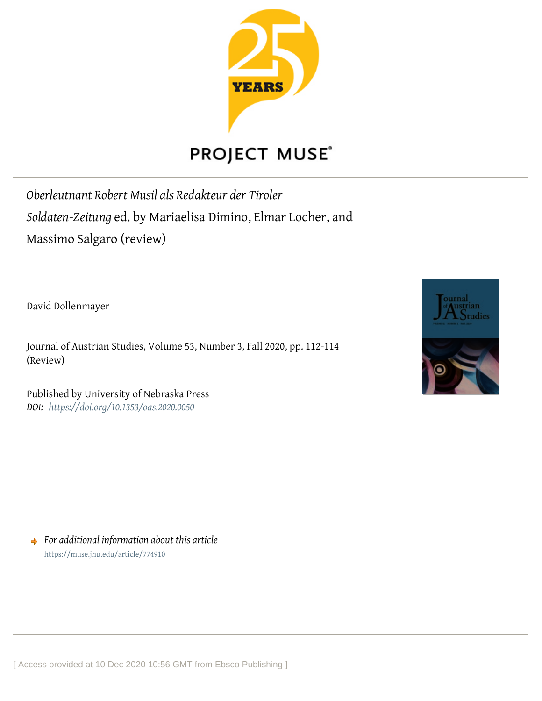

## **PROJECT MUSE®**

*Oberleutnant Robert Musil als Redakteur der Tiroler Soldaten-Zeitung* ed. by Mariaelisa Dimino, Elmar Locher, and Massimo Salgaro (review)

David Dollenmayer

Journal of Austrian Studies, Volume 53, Number 3, Fall 2020, pp. 112-114 (Review)

Published by University of Nebraska Press *DOI: <https://doi.org/10.1353/oas.2020.0050>*



*For additional information about this article* <https://muse.jhu.edu/article/774910>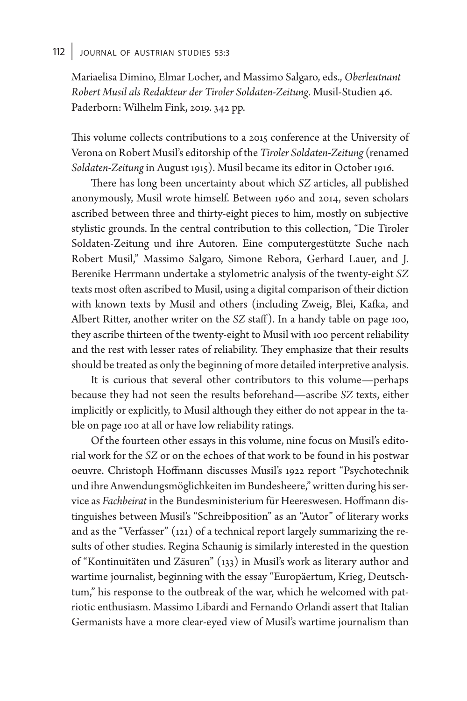## 112 JOURNAL OF AUSTRIAN STUDIES 53:3

 Mariaelisa Dimino, Elmar Locher, and Massimo Salgaro, eds., *Oberleutnant Robert Musil als Redakteur der Tiroler Soldaten- Zeitung*. Musil- Studien 46. Paderborn: Wilhelm Fink, 2019. 342 pp.

This volume collects contributions to a 2015 conference at the University of Verona on Robert Musil's editorship of the *Tiroler Soldaten- Zeitung* (renamed *Soldaten- Zeitung* in August 1915). Musil became its editor in October 1916.

There has long been uncertainty about which *SZ* articles, all published anonymously, Musil wrote himself. Between 1960 and 2014, seven scholars ascribed between three and thirty- eight pieces to him, mostly on subjective stylistic grounds. In the central contribution to this collection, "Die Tiroler Soldaten-Zeitung und ihre Autoren. Eine computergestützte Suche nach Robert Musil," Massimo Salgaro, Simone Rebora, Gerhard Lauer, and J. Berenike Herrmann undertake a stylometric analysis of the twenty- eight *SZ* texts most often ascribed to Musil, using a digital comparison of their diction with known texts by Musil and others (including Zweig, Blei, Kafka, and Albert Ritter, another writer on the *SZ* staff). In a handy table on page 100, they ascribe thirteen of the twenty- eight to Musil with 100 percent reliability and the rest with lesser rates of reliability. They emphasize that their results should be treated as only the beginning of more detailed interpretive analysis.

It is curious that several other contributors to this volume— perhaps because they had not seen the results beforehand— ascribe *SZ* texts, either implicitly or explicitly, to Musil although they either do not appear in the table on page 100 at all or have low reliability ratings.

Of the fourteen other essays in this volume, nine focus on Musil's editorial work for the *SZ* or on the echoes of that work to be found in his postwar oeuvre. Christoph Hoffmann discusses Musil's 1922 report "Psychotechnik und ihre Anwendungsmöglichkeiten im Bundesheere," written during his service as *Fachbeirat* in the Bundesministerium für Heereswesen. Hoffmann distinguishes between Musil's "Schreibposition" as an "Autor" of literary works and as the "Verfasser" (121) of a technical report largely summarizing the results of other studies. Regina Schaunig is similarly interested in the question of "Kontinuitäten und Zäsuren" (133) in Musil's work as literary author and wartime journalist, beginning with the essay "Europäertum, Krieg, Deutschtum," his response to the outbreak of the war, which he welcomed with patriotic enthusiasm. Massimo Libardi and Fernando Orlandi assert that Italian Germanists have a more clear- eyed view of Musil's wartime journalism than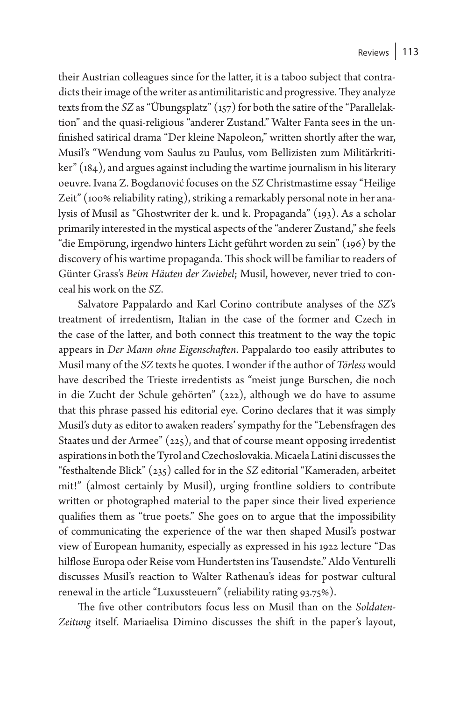their Austrian colleagues since for the latter, it is a taboo subject that contradicts their image of the writer as antimilitaristic and progressive. They analyze texts from the *SZ* as "Übungsplatz" (157) for both the satire of the "Parallelaktion" and the quasi- religious "anderer Zustand." Walter Fanta sees in the unfinished satirical drama "Der kleine Napoleon," written shortly after the war, Musil's "Wendung vom Saulus zu Paulus, vom Bellizisten zum Militärkritiker" (184), and argues against including the wartime journalism in his literary oeuvre. Ivana Z. Bogdanović focuses on the *SZ* Christmastime essay "Heilige Zeit" (100% reliability rating), striking a remarkably personal note in her analysis of Musil as "Ghostwriter der k. und k. Propaganda" (193). As a scholar primarily interested in the mystical aspects of the "anderer Zustand," she feels "die Empörung, irgendwo hinters Licht geführt worden zu sein" (196) by the discovery of his wartime propaganda. This shock will be familiar to readers of Günter Grass's *Beim Häuten der Zwiebel*; Musil, however, never tried to conceal his work on the *SZ*.

Salvatore Pappalardo and Karl Corino contribute analyses of the *SZ*'s treatment of irredentism, Italian in the case of the former and Czech in the case of the latter, and both connect this treatment to the way the topic appears in *Der Mann ohne Eigenschaften*. Pappalardo too easily attributes to Musil many of the *SZ* texts he quotes. I wonder if the author of *Törless* would have described the Trieste irredentists as "meist junge Burschen, die noch in die Zucht der Schule gehörten" (222), although we do have to assume that this phrase passed his editorial eye. Corino declares that it was simply Musil's duty as editor to awaken readers' sympathy for the "Lebensfragen des Staates und der Armee" (225), and that of course meant opposing irredentist aspirations in both the Tyrol and Czechoslovakia. Micaela Latini discusses the "festhaltende Blick" (235) called for in the *SZ* editorial "Kameraden, arbeitet mit!" (almost certainly by Musil), urging frontline soldiers to contribute written or photographed material to the paper since their lived experience qualifies them as "true poets." She goes on to argue that the impossibility of communicating the experience of the war then shaped Musil's postwar view of European humanity, especially as expressed in his 1922 lecture "Das hilflose Europa oder Reise vom Hundertsten ins Tausendste." Aldo Venturelli discusses Musil's reaction to Walter Rathenau's ideas for postwar cultural renewal in the article "Luxussteuern" (reliability rating 93.75%).

The five other contributors focus less on Musil than on the *Soldaten*-*Zeitung* itself. Mariaelisa Dimino discusses the shift in the paper's layout,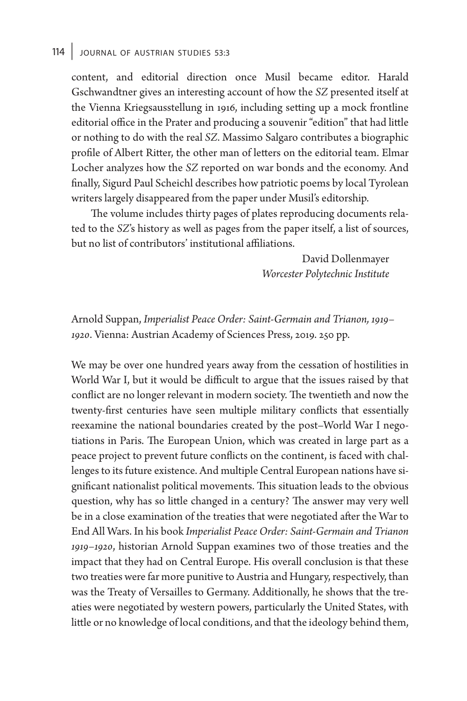## 114 JOURNAL OF AUSTRIAN STUDIES 53:3

content, and editorial direction once Musil became editor. Harald Gschwandtner gives an interesting account of how the *SZ* presented itself at the Vienna Kriegsausstellung in 1916, including setting up a mock frontline editorial office in the Prater and producing a souvenir "edition" that had little or nothing to do with the real *SZ*. Massimo Salgaro contributes a biographic profile of Albert Ritter, the other man of letters on the editorial team. Elmar Locher analyzes how the *SZ* reported on war bonds and the economy. And finally, Sigurd Paul Scheichl describes how patriotic poems by local Tyrolean writers largely disappeared from the paper under Musil's editorship.

The volume includes thirty pages of plates reproducing documents related to the *SZ*'s history as well as pages from the paper itself, a list of sources, but no list of contributors' institutional affiliations.

> David Dollenmayer *Worcester Polytechnic Institute*

 Arnold Suppan, *Imperialist Peace Order: Saint- Germain and Trianon, 1919– 1920*. Vienna: Austrian Academy of Sciences Press, 2019. 250 pp.

We may be over one hundred years away from the cessation of hostilities in World War I, but it would be difficult to argue that the issues raised by that conflict are no longer relevant in modern society. The twentieth and now the twenty-first centuries have seen multiple military conflicts that essentially reexamine the national boundaries created by the post-World War I negotiations in Paris. The European Union, which was created in large part as a peace project to prevent future conflicts on the continent, is faced with challenges to its future existence. And multiple Central European nations have significant nationalist political movements. This situation leads to the obvious question, why has so little changed in a century? The answer may very well be in a close examination of the treaties that were negotiated after the War to End All Wars. In his book *Imperialist Peace Order: Saint- Germain and Trianon 1919– 1920*, historian Arnold Suppan examines two of those treaties and the impact that they had on Central Europe. His overall conclusion is that these two treaties were far more punitive to Austria and Hungary, respectively, than was the Treaty of Versailles to Germany. Additionally, he shows that the treaties were negotiated by western powers, particularly the United States, with little or no knowledge of local conditions, and that the ideology behind them,